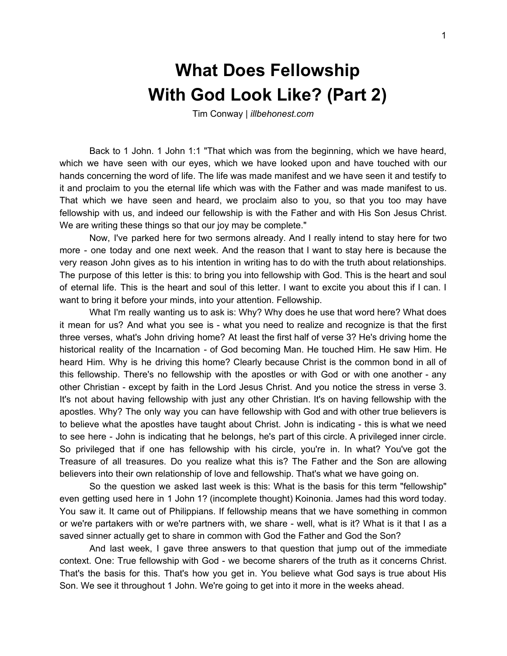## **What Does Fellowship With God Look Like? (Part 2)**

Tim Conway | *illbehonest.com*

Back to 1 John. 1 John 1:1 "That which was from the beginning, which we have heard, which we have seen with our eyes, which we have looked upon and have touched with our hands concerning the word of life. The life was made manifest and we have seen it and testify to it and proclaim to you the eternal life which was with the Father and was made manifest to us. That which we have seen and heard, we proclaim also to you, so that you too may have fellowship with us, and indeed our fellowship is with the Father and with His Son Jesus Christ. We are writing these things so that our joy may be complete."

Now, I've parked here for two sermons already. And I really intend to stay here for two more - one today and one next week. And the reason that I want to stay here is because the very reason John gives as to his intention in writing has to do with the truth about relationships. The purpose of this letter is this: to bring you into fellowship with God. This is the heart and soul of eternal life. This is the heart and soul of this letter. I want to excite you about this if I can. I want to bring it before your minds, into your attention. Fellowship.

What I'm really wanting us to ask is: Why? Why does he use that word here? What does it mean for us? And what you see is - what you need to realize and recognize is that the first three verses, what's John driving home? At least the first half of verse 3? He's driving home the historical reality of the Incarnation - of God becoming Man. He touched Him. He saw Him. He heard Him. Why is he driving this home? Clearly because Christ is the common bond in all of this fellowship. There's no fellowship with the apostles or with God or with one another - any other Christian - except by faith in the Lord Jesus Christ. And you notice the stress in verse 3. It's not about having fellowship with just any other Christian. It's on having fellowship with the apostles. Why? The only way you can have fellowship with God and with other true believers is to believe what the apostles have taught about Christ. John is indicating - this is what we need to see here - John is indicating that he belongs, he's part of this circle. A privileged inner circle. So privileged that if one has fellowship with his circle, you're in. In what? You've got the Treasure of all treasures. Do you realize what this is? The Father and the Son are allowing believers into their own relationship of love and fellowship. That's what we have going on.

So the question we asked last week is this: What is the basis for this term "fellowship" even getting used here in 1 John 1? (incomplete thought) Koinonia. James had this word today. You saw it. It came out of Philippians. If fellowship means that we have something in common or we're partakers with or we're partners with, we share - well, what is it? What is it that I as a saved sinner actually get to share in common with God the Father and God the Son?

And last week, I gave three answers to that question that jump out of the immediate context. One: True fellowship with God - we become sharers of the truth as it concerns Christ. That's the basis for this. That's how you get in. You believe what God says is true about His Son. We see it throughout 1 John. We're going to get into it more in the weeks ahead.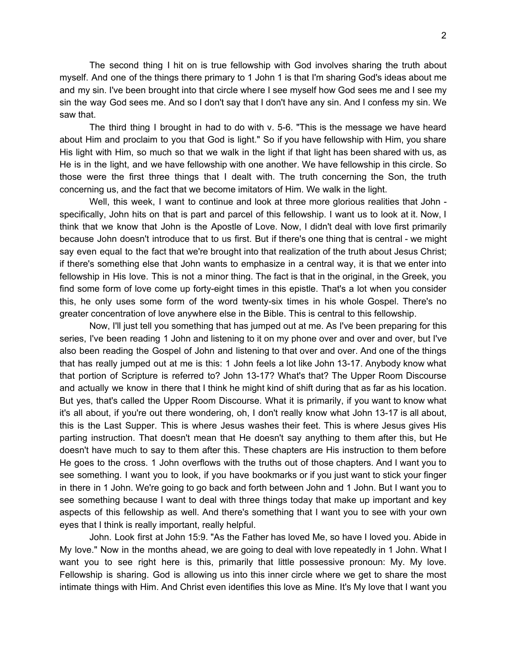The second thing I hit on is true fellowship with God involves sharing the truth about myself. And one of the things there primary to 1 John 1 is that I'm sharing God's ideas about me and my sin. I've been brought into that circle where I see myself how God sees me and I see my sin the way God sees me. And so I don't say that I don't have any sin. And I confess my sin. We saw that.

The third thing I brought in had to do with v. 5-6. "This is the message we have heard about Him and proclaim to you that God is light." So if you have fellowship with Him, you share His light with Him, so much so that we walk in the light if that light has been shared with us, as He is in the light, and we have fellowship with one another. We have fellowship in this circle. So those were the first three things that I dealt with. The truth concerning the Son, the truth concerning us, and the fact that we become imitators of Him. We walk in the light.

Well, this week, I want to continue and look at three more glorious realities that John specifically, John hits on that is part and parcel of this fellowship. I want us to look at it. Now, I think that we know that John is the Apostle of Love. Now, I didn't deal with love first primarily because John doesn't introduce that to us first. But if there's one thing that is central - we might say even equal to the fact that we're brought into that realization of the truth about Jesus Christ; if there's something else that John wants to emphasize in a central way, it is that we enter into fellowship in His love. This is not a minor thing. The fact is that in the original, in the Greek, you find some form of love come up forty-eight times in this epistle. That's a lot when you consider this, he only uses some form of the word twenty-six times in his whole Gospel. There's no greater concentration of love anywhere else in the Bible. This is central to this fellowship.

Now, I'll just tell you something that has jumped out at me. As I've been preparing for this series, I've been reading 1 John and listening to it on my phone over and over and over, but I've also been reading the Gospel of John and listening to that over and over. And one of the things that has really jumped out at me is this: 1 John feels a lot like John 13-17. Anybody know what that portion of Scripture is referred to? John 13-17? What's that? The Upper Room Discourse and actually we know in there that I think he might kind of shift during that as far as his location. But yes, that's called the Upper Room Discourse. What it is primarily, if you want to know what it's all about, if you're out there wondering, oh, I don't really know what John 13-17 is all about, this is the Last Supper. This is where Jesus washes their feet. This is where Jesus gives His parting instruction. That doesn't mean that He doesn't say anything to them after this, but He doesn't have much to say to them after this. These chapters are His instruction to them before He goes to the cross. 1 John overflows with the truths out of those chapters. And I want you to see something. I want you to look, if you have bookmarks or if you just want to stick your finger in there in 1 John. We're going to go back and forth between John and 1 John. But I want you to see something because I want to deal with three things today that make up important and key aspects of this fellowship as well. And there's something that I want you to see with your own eyes that I think is really important, really helpful.

John. Look first at John 15:9. "As the Father has loved Me, so have I loved you. Abide in My love." Now in the months ahead, we are going to deal with love repeatedly in 1 John. What I want you to see right here is this, primarily that little possessive pronoun: My. My love. Fellowship is sharing. God is allowing us into this inner circle where we get to share the most intimate things with Him. And Christ even identifies this love as Mine. It's My love that I want you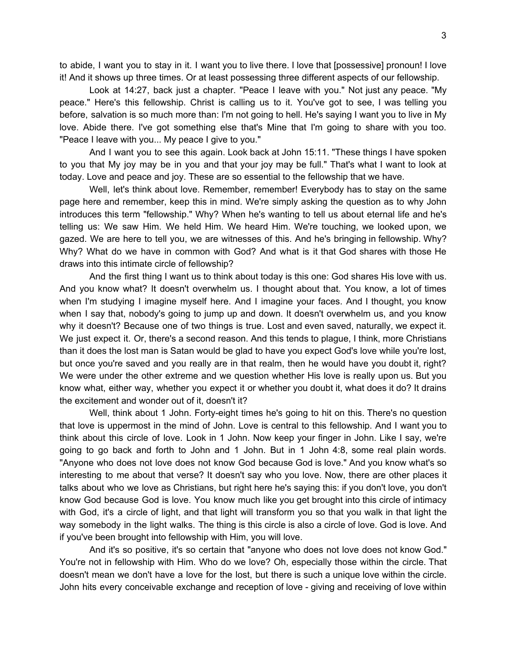to abide, I want you to stay in it. I want you to live there. I love that [possessive] pronoun! I love it! And it shows up three times. Or at least possessing three different aspects of our fellowship.

Look at 14:27, back just a chapter. "Peace I leave with you." Not just any peace. "My peace." Here's this fellowship. Christ is calling us to it. You've got to see, I was telling you before, salvation is so much more than: I'm not going to hell. He's saying I want you to live in My love. Abide there. I've got something else that's Mine that I'm going to share with you too. "Peace I leave with you... My peace I give to you."

And I want you to see this again. Look back at John 15:11. "These things I have spoken to you that My joy may be in you and that your joy may be full." That's what I want to look at today. Love and peace and joy. These are so essential to the fellowship that we have.

Well, let's think about love. Remember, remember! Everybody has to stay on the same page here and remember, keep this in mind. We're simply asking the question as to why John introduces this term "fellowship." Why? When he's wanting to tell us about eternal life and he's telling us: We saw Him. We held Him. We heard Him. We're touching, we looked upon, we gazed. We are here to tell you, we are witnesses of this. And he's bringing in fellowship. Why? Why? What do we have in common with God? And what is it that God shares with those He draws into this intimate circle of fellowship?

And the first thing I want us to think about today is this one: God shares His love with us. And you know what? It doesn't overwhelm us. I thought about that. You know, a lot of times when I'm studying I imagine myself here. And I imagine your faces. And I thought, you know when I say that, nobody's going to jump up and down. It doesn't overwhelm us, and you know why it doesn't? Because one of two things is true. Lost and even saved, naturally, we expect it. We just expect it. Or, there's a second reason. And this tends to plague, I think, more Christians than it does the lost man is Satan would be glad to have you expect God's love while you're lost, but once you're saved and you really are in that realm, then he would have you doubt it, right? We were under the other extreme and we question whether His love is really upon us. But you know what, either way, whether you expect it or whether you doubt it, what does it do? It drains the excitement and wonder out of it, doesn't it?

Well, think about 1 John. Forty-eight times he's going to hit on this. There's no question that love is uppermost in the mind of John. Love is central to this fellowship. And I want you to think about this circle of love. Look in 1 John. Now keep your finger in John. Like I say, we're going to go back and forth to John and 1 John. But in 1 John 4:8, some real plain words. "Anyone who does not love does not know God because God is love." And you know what's so interesting to me about that verse? It doesn't say who you love. Now, there are other places it talks about who we love as Christians, but right here he's saying this: if you don't love, you don't know God because God is love. You know much like you get brought into this circle of intimacy with God, it's a circle of light, and that light will transform you so that you walk in that light the way somebody in the light walks. The thing is this circle is also a circle of love. God is love. And if you've been brought into fellowship with Him, you will love.

And it's so positive, it's so certain that "anyone who does not love does not know God." You're not in fellowship with Him. Who do we love? Oh, especially those within the circle. That doesn't mean we don't have a love for the lost, but there is such a unique love within the circle. John hits every conceivable exchange and reception of love - giving and receiving of love within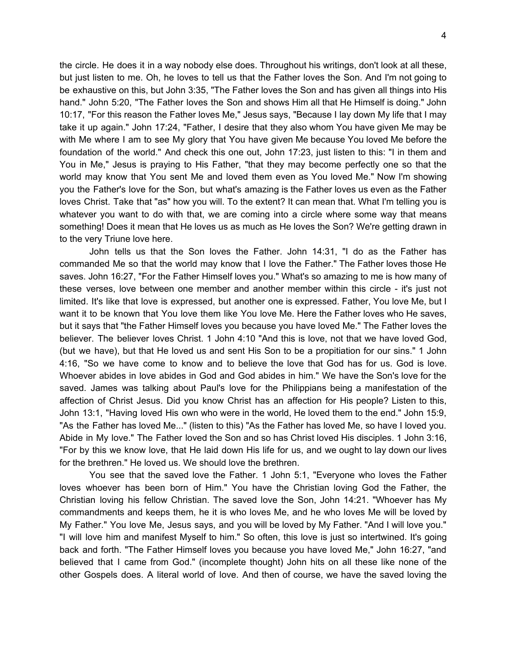the circle. He does it in a way nobody else does. Throughout his writings, don't look at all these, but just listen to me. Oh, he loves to tell us that the Father loves the Son. And I'm not going to be exhaustive on this, but John 3:35, "The Father loves the Son and has given all things into His hand." John 5:20, "The Father loves the Son and shows Him all that He Himself is doing." John 10:17, "For this reason the Father loves Me," Jesus says, "Because I lay down My life that I may take it up again." John 17:24, "Father, I desire that they also whom You have given Me may be with Me where I am to see My glory that You have given Me because You loved Me before the foundation of the world." And check this one out, John 17:23, just listen to this: "I in them and You in Me," Jesus is praying to His Father, "that they may become perfectly one so that the world may know that You sent Me and loved them even as You loved Me." Now I'm showing you the Father's love for the Son, but what's amazing is the Father loves us even as the Father loves Christ. Take that "as" how you will. To the extent? It can mean that. What I'm telling you is whatever you want to do with that, we are coming into a circle where some way that means something! Does it mean that He loves us as much as He loves the Son? We're getting drawn in to the very Triune love here.

John tells us that the Son loves the Father. John 14:31, "I do as the Father has commanded Me so that the world may know that I love the Father." The Father loves those He saves. John 16:27, "For the Father Himself loves you." What's so amazing to me is how many of these verses, love between one member and another member within this circle - it's just not limited. It's like that love is expressed, but another one is expressed. Father, You love Me, but I want it to be known that You love them like You love Me. Here the Father loves who He saves, but it says that "the Father Himself loves you because you have loved Me." The Father loves the believer. The believer loves Christ. 1 John 4:10 "And this is love, not that we have loved God, (but we have), but that He loved us and sent His Son to be a propitiation for our sins." 1 John 4:16, "So we have come to know and to believe the love that God has for us. God is love. Whoever abides in love abides in God and God abides in him." We have the Son's love for the saved. James was talking about Paul's love for the Philippians being a manifestation of the affection of Christ Jesus. Did you know Christ has an affection for His people? Listen to this, John 13:1, "Having loved His own who were in the world, He loved them to the end." John 15:9, "As the Father has loved Me..." (listen to this) "As the Father has loved Me, so have I loved you. Abide in My love." The Father loved the Son and so has Christ loved His disciples. 1 John 3:16, "For by this we know love, that He laid down His life for us, and we ought to lay down our lives for the brethren." He loved us. We should love the brethren.

You see that the saved love the Father. 1 John 5:1, "Everyone who loves the Father loves whoever has been born of Him." You have the Christian loving God the Father, the Christian loving his fellow Christian. The saved love the Son, John 14:21. "Whoever has My commandments and keeps them, he it is who loves Me, and he who loves Me will be loved by My Father." You love Me, Jesus says, and you will be loved by My Father. "And I will love you." "I will love him and manifest Myself to him." So often, this love is just so intertwined. It's going back and forth. "The Father Himself loves you because you have loved Me," John 16:27, "and believed that I came from God." (incomplete thought) John hits on all these like none of the other Gospels does. A literal world of love. And then of course, we have the saved loving the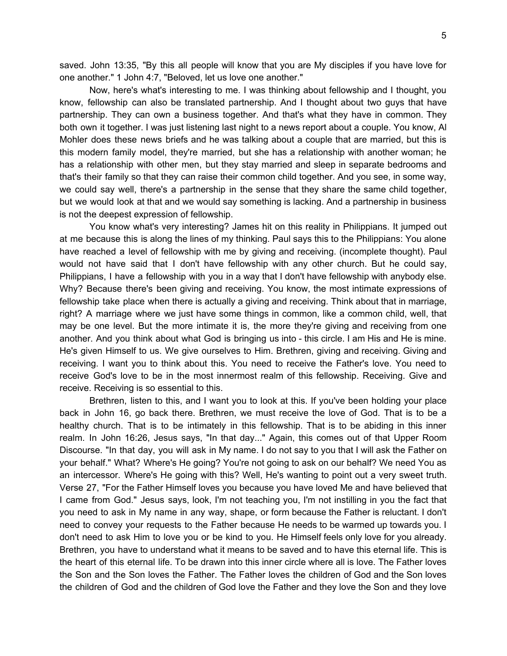saved. John 13:35, "By this all people will know that you are My disciples if you have love for one another." 1 John 4:7, "Beloved, let us love one another."

Now, here's what's interesting to me. I was thinking about fellowship and I thought, you know, fellowship can also be translated partnership. And I thought about two guys that have partnership. They can own a business together. And that's what they have in common. They both own it together. I was just listening last night to a news report about a couple. You know, Al Mohler does these news briefs and he was talking about a couple that are married, but this is this modern family model, they're married, but she has a relationship with another woman; he has a relationship with other men, but they stay married and sleep in separate bedrooms and that's their family so that they can raise their common child together. And you see, in some way, we could say well, there's a partnership in the sense that they share the same child together, but we would look at that and we would say something is lacking. And a partnership in business is not the deepest expression of fellowship.

You know what's very interesting? James hit on this reality in Philippians. It jumped out at me because this is along the lines of my thinking. Paul says this to the Philippians: You alone have reached a level of fellowship with me by giving and receiving. (incomplete thought). Paul would not have said that I don't have fellowship with any other church. But he could say, Philippians, I have a fellowship with you in a way that I don't have fellowship with anybody else. Why? Because there's been giving and receiving. You know, the most intimate expressions of fellowship take place when there is actually a giving and receiving. Think about that in marriage, right? A marriage where we just have some things in common, like a common child, well, that may be one level. But the more intimate it is, the more they're giving and receiving from one another. And you think about what God is bringing us into - this circle. I am His and He is mine. He's given Himself to us. We give ourselves to Him. Brethren, giving and receiving. Giving and receiving. I want you to think about this. You need to receive the Father's love. You need to receive God's love to be in the most innermost realm of this fellowship. Receiving. Give and receive. Receiving is so essential to this.

Brethren, listen to this, and I want you to look at this. If you've been holding your place back in John 16, go back there. Brethren, we must receive the love of God. That is to be a healthy church. That is to be intimately in this fellowship. That is to be abiding in this inner realm. In John 16:26, Jesus says, "In that day..." Again, this comes out of that Upper Room Discourse. "In that day, you will ask in My name. I do not say to you that I will ask the Father on your behalf." What? Where's He going? You're not going to ask on our behalf? We need You as an intercessor. Where's He going with this? Well, He's wanting to point out a very sweet truth. Verse 27, "For the Father Himself loves you because you have loved Me and have believed that I came from God." Jesus says, look, I'm not teaching you, I'm not instilling in you the fact that you need to ask in My name in any way, shape, or form because the Father is reluctant. I don't need to convey your requests to the Father because He needs to be warmed up towards you. I don't need to ask Him to love you or be kind to you. He Himself feels only love for you already. Brethren, you have to understand what it means to be saved and to have this eternal life. This is the heart of this eternal life. To be drawn into this inner circle where all is love. The Father loves the Son and the Son loves the Father. The Father loves the children of God and the Son loves the children of God and the children of God love the Father and they love the Son and they love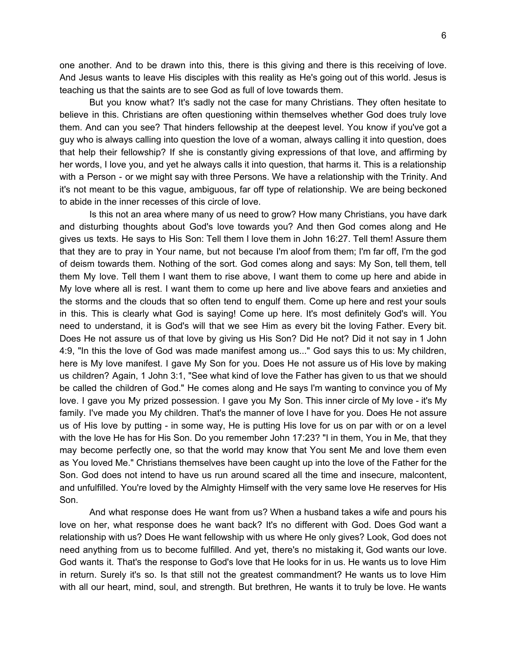one another. And to be drawn into this, there is this giving and there is this receiving of love. And Jesus wants to leave His disciples with this reality as He's going out of this world. Jesus is teaching us that the saints are to see God as full of love towards them.

But you know what? It's sadly not the case for many Christians. They often hesitate to believe in this. Christians are often questioning within themselves whether God does truly love them. And can you see? That hinders fellowship at the deepest level. You know if you've got a guy who is always calling into question the love of a woman, always calling it into question, does that help their fellowship? If she is constantly giving expressions of that love, and affirming by her words, I love you, and yet he always calls it into question, that harms it. This is a relationship with a Person - or we might say with three Persons. We have a relationship with the Trinity. And it's not meant to be this vague, ambiguous, far off type of relationship. We are being beckoned to abide in the inner recesses of this circle of love.

Is this not an area where many of us need to grow? How many Christians, you have dark and disturbing thoughts about God's love towards you? And then God comes along and He gives us texts. He says to His Son: Tell them I love them in John 16:27. Tell them! Assure them that they are to pray in Your name, but not because I'm aloof from them; I'm far off, I'm the god of deism towards them. Nothing of the sort. God comes along and says: My Son, tell them, tell them My love. Tell them I want them to rise above, I want them to come up here and abide in My love where all is rest. I want them to come up here and live above fears and anxieties and the storms and the clouds that so often tend to engulf them. Come up here and rest your souls in this. This is clearly what God is saying! Come up here. It's most definitely God's will. You need to understand, it is God's will that we see Him as every bit the loving Father. Every bit. Does He not assure us of that love by giving us His Son? Did He not? Did it not say in 1 John 4:9, "In this the love of God was made manifest among us..." God says this to us: My children, here is My love manifest. I gave My Son for you. Does He not assure us of His love by making us children? Again, 1 John 3:1, "See what kind of love the Father has given to us that we should be called the children of God." He comes along and He says I'm wanting to convince you of My love. I gave you My prized possession. I gave you My Son. This inner circle of My love - it's My family. I've made you My children. That's the manner of love I have for you. Does He not assure us of His love by putting - in some way, He is putting His love for us on par with or on a level with the love He has for His Son. Do you remember John 17:23? "I in them, You in Me, that they may become perfectly one, so that the world may know that You sent Me and love them even as You loved Me." Christians themselves have been caught up into the love of the Father for the Son. God does not intend to have us run around scared all the time and insecure, malcontent, and unfulfilled. You're loved by the Almighty Himself with the very same love He reserves for His Son.

And what response does He want from us? When a husband takes a wife and pours his love on her, what response does he want back? It's no different with God. Does God want a relationship with us? Does He want fellowship with us where He only gives? Look, God does not need anything from us to become fulfilled. And yet, there's no mistaking it, God wants our love. God wants it. That's the response to God's love that He looks for in us. He wants us to love Him in return. Surely it's so. Is that still not the greatest commandment? He wants us to love Him with all our heart, mind, soul, and strength. But brethren, He wants it to truly be love. He wants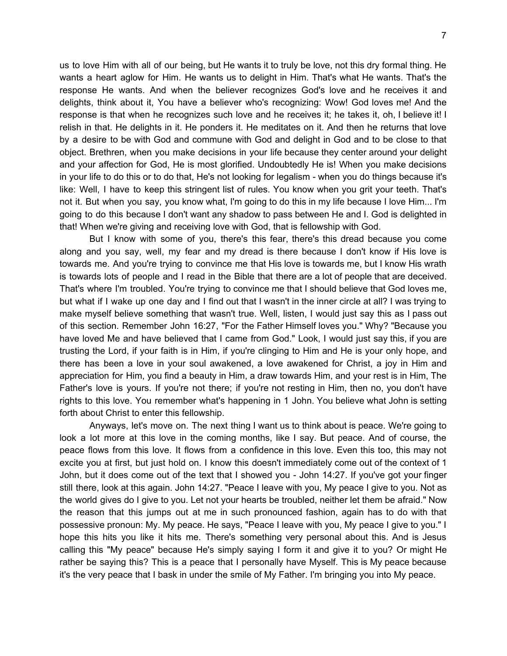us to love Him with all of our being, but He wants it to truly be love, not this dry formal thing. He wants a heart aglow for Him. He wants us to delight in Him. That's what He wants. That's the response He wants. And when the believer recognizes God's love and he receives it and delights, think about it, You have a believer who's recognizing: Wow! God loves me! And the response is that when he recognizes such love and he receives it; he takes it, oh, I believe it! I relish in that. He delights in it. He ponders it. He meditates on it. And then he returns that love by a desire to be with God and commune with God and delight in God and to be close to that object. Brethren, when you make decisions in your life because they center around your delight and your affection for God, He is most glorified. Undoubtedly He is! When you make decisions in your life to do this or to do that, He's not looking for legalism - when you do things because it's like: Well, I have to keep this stringent list of rules. You know when you grit your teeth. That's not it. But when you say, you know what, I'm going to do this in my life because I love Him... I'm going to do this because I don't want any shadow to pass between He and I. God is delighted in that! When we're giving and receiving love with God, that is fellowship with God.

But I know with some of you, there's this fear, there's this dread because you come along and you say, well, my fear and my dread is there because I don't know if His love is towards me. And you're trying to convince me that His love is towards me, but I know His wrath is towards lots of people and I read in the Bible that there are a lot of people that are deceived. That's where I'm troubled. You're trying to convince me that I should believe that God loves me, but what if I wake up one day and I find out that I wasn't in the inner circle at all? I was trying to make myself believe something that wasn't true. Well, listen, I would just say this as I pass out of this section. Remember John 16:27, "For the Father Himself loves you." Why? "Because you have loved Me and have believed that I came from God." Look, I would just say this, if you are trusting the Lord, if your faith is in Him, if you're clinging to Him and He is your only hope, and there has been a love in your soul awakened, a love awakened for Christ, a joy in Him and appreciation for Him, you find a beauty in Him, a draw towards Him, and your rest is in Him, The Father's love is yours. If you're not there; if you're not resting in Him, then no, you don't have rights to this love. You remember what's happening in 1 John. You believe what John is setting forth about Christ to enter this fellowship.

Anyways, let's move on. The next thing I want us to think about is peace. We're going to look a lot more at this love in the coming months, like I say. But peace. And of course, the peace flows from this love. It flows from a confidence in this love. Even this too, this may not excite you at first, but just hold on. I know this doesn't immediately come out of the context of 1 John, but it does come out of the text that I showed you - John 14:27. If you've got your finger still there, look at this again. John 14:27. "Peace I leave with you, My peace I give to you. Not as the world gives do I give to you. Let not your hearts be troubled, neither let them be afraid." Now the reason that this jumps out at me in such pronounced fashion, again has to do with that possessive pronoun: My. My peace. He says, "Peace I leave with you, My peace I give to you." I hope this hits you like it hits me. There's something very personal about this. And is Jesus calling this "My peace" because He's simply saying I form it and give it to you? Or might He rather be saying this? This is a peace that I personally have Myself. This is My peace because it's the very peace that I bask in under the smile of My Father. I'm bringing you into My peace.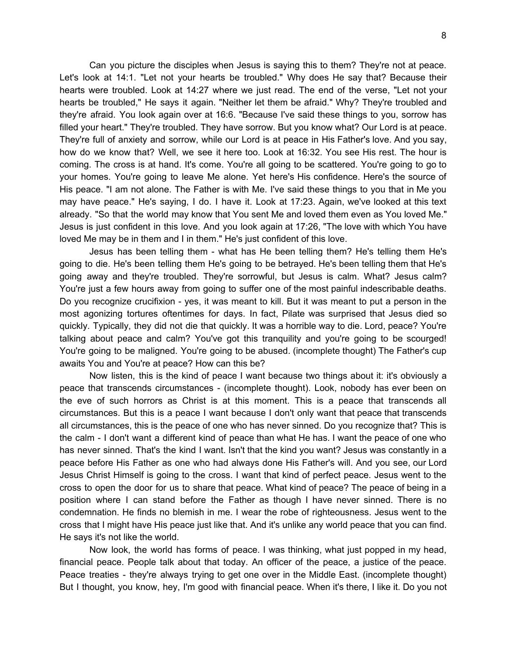Can you picture the disciples when Jesus is saying this to them? They're not at peace. Let's look at 14:1. "Let not your hearts be troubled." Why does He say that? Because their hearts were troubled. Look at 14:27 where we just read. The end of the verse, "Let not your hearts be troubled," He says it again. "Neither let them be afraid." Why? They're troubled and they're afraid. You look again over at 16:6. "Because I've said these things to you, sorrow has filled your heart." They're troubled. They have sorrow. But you know what? Our Lord is at peace. They're full of anxiety and sorrow, while our Lord is at peace in His Father's love. And you say, how do we know that? Well, we see it here too. Look at 16:32. You see His rest. The hour is coming. The cross is at hand. It's come. You're all going to be scattered. You're going to go to your homes. You're going to leave Me alone. Yet here's His confidence. Here's the source of His peace. "I am not alone. The Father is with Me. I've said these things to you that in Me you may have peace." He's saying, I do. I have it. Look at 17:23. Again, we've looked at this text already. "So that the world may know that You sent Me and loved them even as You loved Me." Jesus is just confident in this love. And you look again at 17:26, "The love with which You have loved Me may be in them and I in them." He's just confident of this love.

Jesus has been telling them - what has He been telling them? He's telling them He's going to die. He's been telling them He's going to be betrayed. He's been telling them that He's going away and they're troubled. They're sorrowful, but Jesus is calm. What? Jesus calm? You're just a few hours away from going to suffer one of the most painful indescribable deaths. Do you recognize crucifixion - yes, it was meant to kill. But it was meant to put a person in the most agonizing tortures oftentimes for days. In fact, Pilate was surprised that Jesus died so quickly. Typically, they did not die that quickly. It was a horrible way to die. Lord, peace? You're talking about peace and calm? You've got this tranquility and you're going to be scourged! You're going to be maligned. You're going to be abused. (incomplete thought) The Father's cup awaits You and You're at peace? How can this be?

Now listen, this is the kind of peace I want because two things about it: it's obviously a peace that transcends circumstances - (incomplete thought). Look, nobody has ever been on the eve of such horrors as Christ is at this moment. This is a peace that transcends all circumstances. But this is a peace I want because I don't only want that peace that transcends all circumstances, this is the peace of one who has never sinned. Do you recognize that? This is the calm - I don't want a different kind of peace than what He has. I want the peace of one who has never sinned. That's the kind I want. Isn't that the kind you want? Jesus was constantly in a peace before His Father as one who had always done His Father's will. And you see, our Lord Jesus Christ Himself is going to the cross. I want that kind of perfect peace. Jesus went to the cross to open the door for us to share that peace. What kind of peace? The peace of being in a position where I can stand before the Father as though I have never sinned. There is no condemnation. He finds no blemish in me. I wear the robe of righteousness. Jesus went to the cross that I might have His peace just like that. And it's unlike any world peace that you can find. He says it's not like the world.

Now look, the world has forms of peace. I was thinking, what just popped in my head, financial peace. People talk about that today. An officer of the peace, a justice of the peace. Peace treaties - they're always trying to get one over in the Middle East. (incomplete thought) But I thought, you know, hey, I'm good with financial peace. When it's there, I like it. Do you not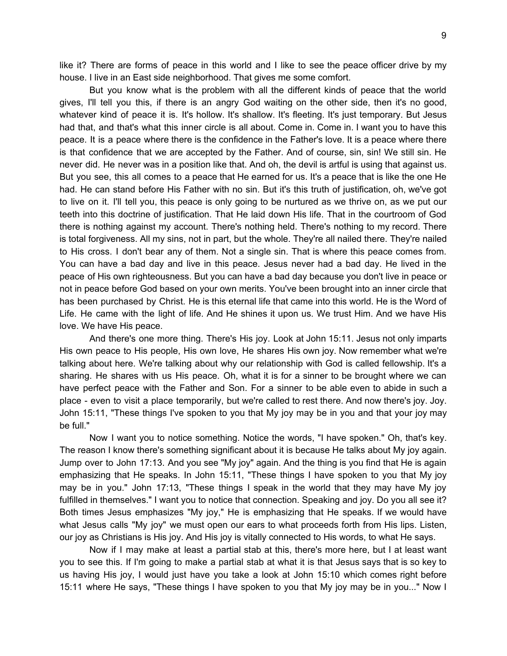like it? There are forms of peace in this world and I like to see the peace officer drive by my house. I live in an East side neighborhood. That gives me some comfort.

But you know what is the problem with all the different kinds of peace that the world gives, I'll tell you this, if there is an angry God waiting on the other side, then it's no good, whatever kind of peace it is. It's hollow. It's shallow. It's fleeting. It's just temporary. But Jesus had that, and that's what this inner circle is all about. Come in. Come in. I want you to have this peace. It is a peace where there is the confidence in the Father's love. It is a peace where there is that confidence that we are accepted by the Father. And of course, sin, sin! We still sin. He never did. He never was in a position like that. And oh, the devil is artful is using that against us. But you see, this all comes to a peace that He earned for us. It's a peace that is like the one He had. He can stand before His Father with no sin. But it's this truth of justification, oh, we've got to live on it. I'll tell you, this peace is only going to be nurtured as we thrive on, as we put our teeth into this doctrine of justification. That He laid down His life. That in the courtroom of God there is nothing against my account. There's nothing held. There's nothing to my record. There is total forgiveness. All my sins, not in part, but the whole. They're all nailed there. They're nailed to His cross. I don't bear any of them. Not a single sin. That is where this peace comes from. You can have a bad day and live in this peace. Jesus never had a bad day. He lived in the peace of His own righteousness. But you can have a bad day because you don't live in peace or not in peace before God based on your own merits. You've been brought into an inner circle that has been purchased by Christ. He is this eternal life that came into this world. He is the Word of Life. He came with the light of life. And He shines it upon us. We trust Him. And we have His love. We have His peace.

And there's one more thing. There's His joy. Look at John 15:11. Jesus not only imparts His own peace to His people, His own love, He shares His own joy. Now remember what we're talking about here. We're talking about why our relationship with God is called fellowship. It's a sharing. He shares with us His peace. Oh, what it is for a sinner to be brought where we can have perfect peace with the Father and Son. For a sinner to be able even to abide in such a place - even to visit a place temporarily, but we're called to rest there. And now there's joy. Joy. John 15:11, "These things I've spoken to you that My joy may be in you and that your joy may be full."

Now I want you to notice something. Notice the words, "I have spoken." Oh, that's key. The reason I know there's something significant about it is because He talks about My joy again. Jump over to John 17:13. And you see "My joy" again. And the thing is you find that He is again emphasizing that He speaks. In John 15:11, "These things I have spoken to you that My joy may be in you." John 17:13, "These things I speak in the world that they may have My joy fulfilled in themselves." I want you to notice that connection. Speaking and joy. Do you all see it? Both times Jesus emphasizes "My joy," He is emphasizing that He speaks. If we would have what Jesus calls "My joy" we must open our ears to what proceeds forth from His lips. Listen, our joy as Christians is His joy. And His joy is vitally connected to His words, to what He says.

Now if I may make at least a partial stab at this, there's more here, but I at least want you to see this. If I'm going to make a partial stab at what it is that Jesus says that is so key to us having His joy, I would just have you take a look at John 15:10 which comes right before 15:11 where He says, "These things I have spoken to you that My joy may be in you..." Now I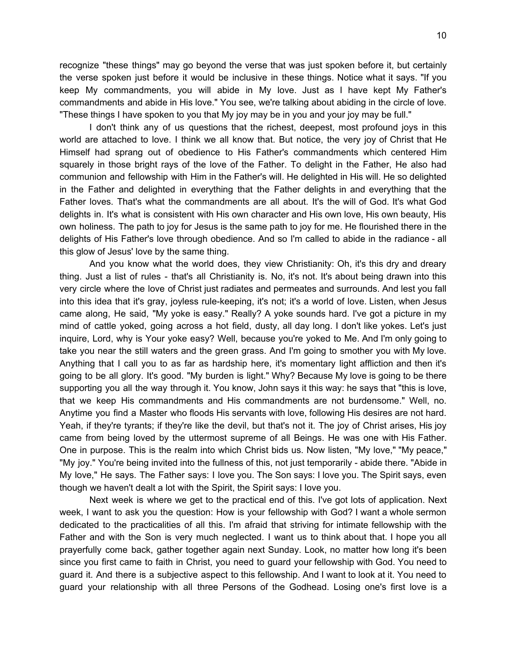recognize "these things" may go beyond the verse that was just spoken before it, but certainly the verse spoken just before it would be inclusive in these things. Notice what it says. "If you keep My commandments, you will abide in My love. Just as I have kept My Father's commandments and abide in His love." You see, we're talking about abiding in the circle of love. "These things I have spoken to you that My joy may be in you and your joy may be full."

I don't think any of us questions that the richest, deepest, most profound joys in this world are attached to love. I think we all know that. But notice, the very joy of Christ that He Himself had sprang out of obedience to His Father's commandments which centered Him squarely in those bright rays of the love of the Father. To delight in the Father, He also had communion and fellowship with Him in the Father's will. He delighted in His will. He so delighted in the Father and delighted in everything that the Father delights in and everything that the Father loves. That's what the commandments are all about. It's the will of God. It's what God delights in. It's what is consistent with His own character and His own love, His own beauty, His own holiness. The path to joy for Jesus is the same path to joy for me. He flourished there in the delights of His Father's love through obedience. And so I'm called to abide in the radiance - all this glow of Jesus' love by the same thing.

And you know what the world does, they view Christianity: Oh, it's this dry and dreary thing. Just a list of rules - that's all Christianity is. No, it's not. It's about being drawn into this very circle where the love of Christ just radiates and permeates and surrounds. And lest you fall into this idea that it's gray, joyless rule-keeping, it's not; it's a world of love. Listen, when Jesus came along, He said, "My yoke is easy." Really? A yoke sounds hard. I've got a picture in my mind of cattle yoked, going across a hot field, dusty, all day long. I don't like yokes. Let's just inquire, Lord, why is Your yoke easy? Well, because you're yoked to Me. And I'm only going to take you near the still waters and the green grass. And I'm going to smother you with My love. Anything that I call you to as far as hardship here, it's momentary light affliction and then it's going to be all glory. It's good. "My burden is light." Why? Because My love is going to be there supporting you all the way through it. You know, John says it this way: he says that "this is love, that we keep His commandments and His commandments are not burdensome." Well, no. Anytime you find a Master who floods His servants with love, following His desires are not hard. Yeah, if they're tyrants; if they're like the devil, but that's not it. The joy of Christ arises, His joy came from being loved by the uttermost supreme of all Beings. He was one with His Father. One in purpose. This is the realm into which Christ bids us. Now listen, "My love," "My peace," "My joy." You're being invited into the fullness of this, not just temporarily - abide there. "Abide in My love," He says. The Father says: I love you. The Son says: I love you. The Spirit says, even though we haven't dealt a lot with the Spirit, the Spirit says: I love you.

Next week is where we get to the practical end of this. I've got lots of application. Next week, I want to ask you the question: How is your fellowship with God? I want a whole sermon dedicated to the practicalities of all this. I'm afraid that striving for intimate fellowship with the Father and with the Son is very much neglected. I want us to think about that. I hope you all prayerfully come back, gather together again next Sunday. Look, no matter how long it's been since you first came to faith in Christ, you need to guard your fellowship with God. You need to guard it. And there is a subjective aspect to this fellowship. And I want to look at it. You need to guard your relationship with all three Persons of the Godhead. Losing one's first love is a